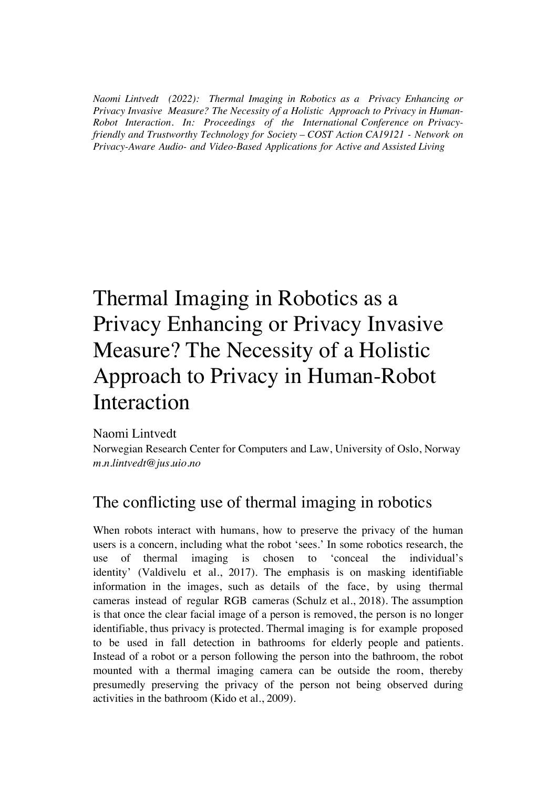*Naomi Lintvedt (2022): Thermal Imaging in Robotics as a Privacy Enhancing or Privacy Invasive Measure? The Necessity of a Holistic Approach to Privacy in Human-Robot Interaction. In: Proceedings of the International Conference on Privacyfriendly and Trustworthy Technology for Society – COST Action CA19121 - Network on Privacy-Aware Audio- and Video-Based Applications for Active and Assisted Living* 

# Thermal Imaging in Robotics as a Privacy Enhancing or Privacy Invasive Measure? The Necessity of a Holistic Approach to Privacy in Human-Robot Interaction

Naomi Lintvedt

Norwegian Research Center for Computers and Law, University of Oslo, Norway *m.n.lintvedt@jus.uio.no*

## The conflicting use of thermal imaging in robotics

When robots interact with humans, how to preserve the privacy of the human users is a concern, including what the robot 'sees.' In some robotics research, the use of thermal imaging is chosen to 'conceal the individual's identity' (Valdivelu et al., 2017). The emphasis is on masking identifiable information in the images, such as details of the face, by using thermal cameras instead of regular RGB cameras (Schulz et al., 2018). The assumption is that once the clear facial image of a person is removed, the person is no longer identifiable, thus privacy is protected. Thermal imaging is for example proposed to be used in fall detection in bathrooms for elderly people and patients. Instead of a robot or a person following the person into the bathroom, the robot mounted with a thermal imaging camera can be outside the room, thereby presumedly preserving the privacy of the person not being observed during activities in the bathroom (Kido et al., 2009).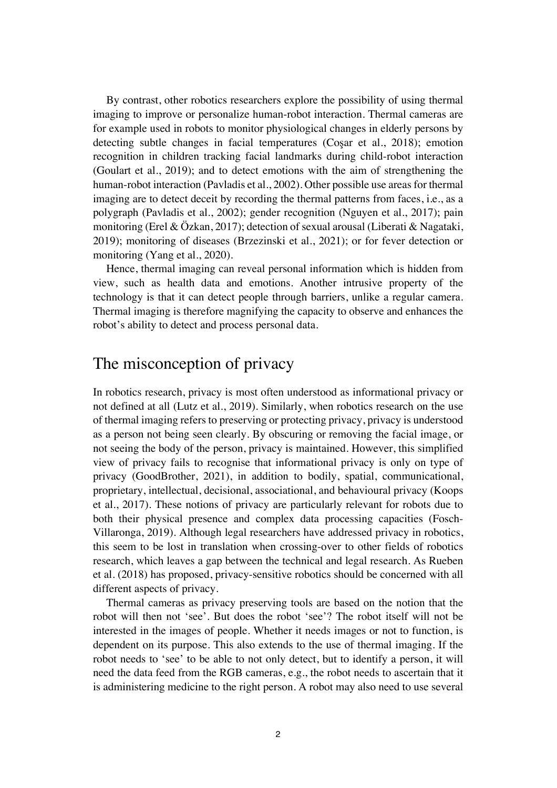By contrast, other robotics researchers explore the possibility of using thermal imaging to improve or personalize human-robot interaction. Thermal cameras are for example used in robots to monitor physiological changes in elderly persons by detecting subtle changes in facial temperatures (Coşar et al., 2018); emotion recognition in children tracking facial landmarks during child-robot interaction (Goulart et al., 2019); and to detect emotions with the aim of strengthening the human-robot interaction (Pavladis et al., 2002). Other possible use areas for thermal imaging are to detect deceit by recording the thermal patterns from faces, i.e., as a polygraph (Pavladis et al., 2002); gender recognition (Nguyen et al., 2017); pain monitoring (Erel & Özkan, 2017); detection of sexual arousal (Liberati & Nagataki, 2019); monitoring of diseases (Brzezinski et al., 2021); or for fever detection or monitoring (Yang et al., 2020).

Hence, thermal imaging can reveal personal information which is hidden from view, such as health data and emotions. Another intrusive property of the technology is that it can detect people through barriers, unlike a regular camera. Thermal imaging is therefore magnifying the capacity to observe and enhances the robot's ability to detect and process personal data.

#### The misconception of privacy

In robotics research, privacy is most often understood as informational privacy or not defined at all (Lutz et al., 2019). Similarly, when robotics research on the use of thermal imaging refers to preserving or protecting privacy, privacy is understood as a person not being seen clearly. By obscuring or removing the facial image, or not seeing the body of the person, privacy is maintained. However, this simplified view of privacy fails to recognise that informational privacy is only on type of privacy (GoodBrother, 2021), in addition to bodily, spatial, communicational, proprietary, intellectual, decisional, associational, and behavioural privacy (Koops et al., 2017). These notions of privacy are particularly relevant for robots due to both their physical presence and complex data processing capacities (Fosch-Villaronga, 2019). Although legal researchers have addressed privacy in robotics, this seem to be lost in translation when crossing-over to other fields of robotics research, which leaves a gap between the technical and legal research. As Rueben et al. (2018) has proposed, privacy-sensitive robotics should be concerned with all different aspects of privacy.

Thermal cameras as privacy preserving tools are based on the notion that the robot will then not 'see'. But does the robot 'see'? The robot itself will not be interested in the images of people. Whether it needs images or not to function, is dependent on its purpose. This also extends to the use of thermal imaging. If the robot needs to 'see' to be able to not only detect, but to identify a person, it will need the data feed from the RGB cameras, e.g., the robot needs to ascertain that it is administering medicine to the right person. A robot may also need to use several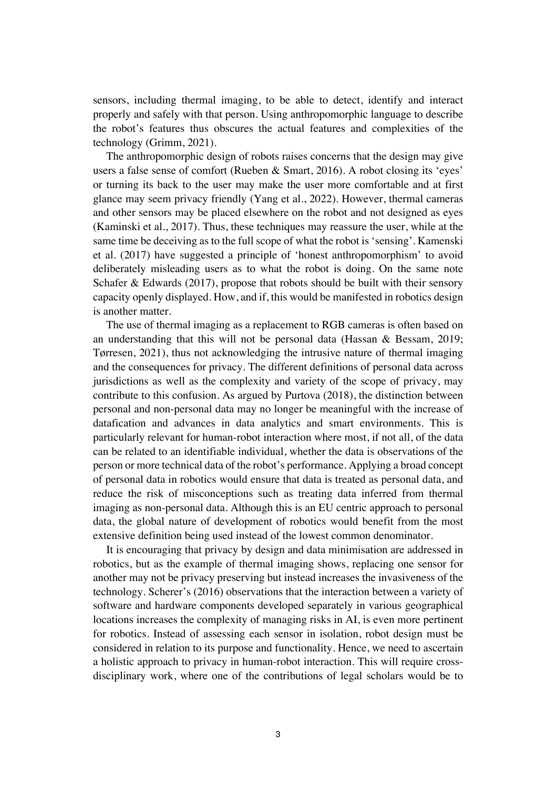sensors, including thermal imaging, to be able to detect, identify and interact properly and safely with that person. Using anthropomorphic language to describe the robot's features thus obscures the actual features and complexities of the technology (Grimm, 2021).

The anthropomorphic design of robots raises concerns that the design may give users a false sense of comfort (Rueben & Smart, 2016). A robot closing its 'eyes' or turning its back to the user may make the user more comfortable and at first glance may seem privacy friendly (Yang et al., 2022). However, thermal cameras and other sensors may be placed elsewhere on the robot and not designed as eyes (Kaminski et al., 2017). Thus, these techniques may reassure the user, while at the same time be deceiving as to the full scope of what the robot is 'sensing'. Kamenski et al. (2017) have suggested a principle of 'honest anthropomorphism' to avoid deliberately misleading users as to what the robot is doing. On the same note Schafer & Edwards (2017), propose that robots should be built with their sensory capacity openly displayed. How, and if, this would be manifested in robotics design is another matter.

The use of thermal imaging as a replacement to RGB cameras is often based on an understanding that this will not be personal data (Hassan & Bessam, 2019; Tørresen, 2021), thus not acknowledging the intrusive nature of thermal imaging and the consequences for privacy. The different definitions of personal data across jurisdictions as well as the complexity and variety of the scope of privacy, may contribute to this confusion. As argued by Purtova (2018), the distinction between personal and non-personal data may no longer be meaningful with the increase of datafication and advances in data analytics and smart environments. This is particularly relevant for human-robot interaction where most, if not all, of the data can be related to an identifiable individual, whether the data is observations of the person or more technical data of the robot's performance. Applying a broad concept of personal data in robotics would ensure that data is treated as personal data, and reduce the risk of misconceptions such as treating data inferred from thermal imaging as non-personal data. Although this is an EU centric approach to personal data, the global nature of development of robotics would benefit from the most extensive definition being used instead of the lowest common denominator.

It is encouraging that privacy by design and data minimisation are addressed in robotics, but as the example of thermal imaging shows, replacing one sensor for another may not be privacy preserving but instead increases the invasiveness of the technology. Scherer's (2016) observations that the interaction between a variety of software and hardware components developed separately in various geographical locations increases the complexity of managing risks in AI, is even more pertinent for robotics. Instead of assessing each sensor in isolation, robot design must be considered in relation to its purpose and functionality. Hence, we need to ascertain a holistic approach to privacy in human-robot interaction. This will require crossdisciplinary work, where one of the contributions of legal scholars would be to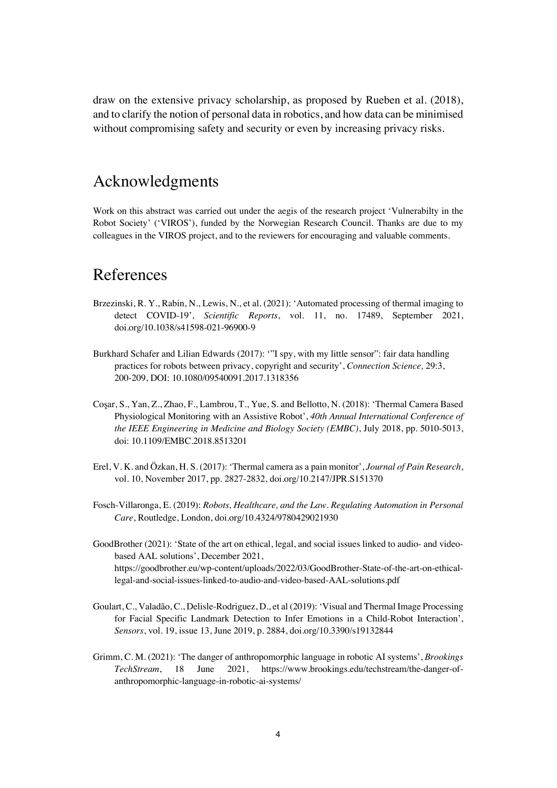draw on the extensive privacy scholarship, as proposed by Rueben et al. (2018), and to clarify the notion of personal data in robotics, and how data can be minimised without compromising safety and security or even by increasing privacy risks.

### Acknowledgments

Work on this abstract was carried out under the aegis of the research project 'Vulnerabilty in the Robot Society' ('VIROS'), funded by the Norwegian Research Council. Thanks are due to my colleagues in the VIROS project, and to the reviewers for encouraging and valuable comments.

#### References

- Brzezinski, R. Y., Rabin, N., Lewis, N., et al. (2021): 'Automated processing of thermal imaging to detect COVID-19', *Scientific Reports*, vol. 11, no. 17489, September 2021, doi.org/10.1038/s41598-021-96900-9
- Burkhard Schafer and Lilian Edwards (2017): '"I spy, with my little sensor": fair data handling practices for robots between privacy, copyright and security', *Connection Science,* 29:3, 200-209, DOI: 10.1080/09540091.2017.1318356
- Coşar, S., Yan, Z., Zhao, F., Lambrou, T., Yue, S. and Bellotto, N. (2018): 'Thermal Camera Based Physiological Monitoring with an Assistive Robot', *40th Annual International Conference of the IEEE Engineering in Medicine and Biology Society (EMBC)*, July 2018, pp. 5010-5013, doi: 10.1109/EMBC.2018.8513201
- Erel, V. K. and Özkan, H. S. (2017): 'Thermal camera as a pain monitor', *Journal of Pain Research*, vol. 10, November 2017, pp. 2827-2832, doi.org/10.2147/JPR.S151370
- Fosch-Villaronga, E. (2019): *Robots, Healthcare, and the Law. Regulating Automation in Personal Care*, Routledge, London, doi.org/10.4324/9780429021930
- GoodBrother (2021): 'State of the art on ethical, legal, and social issues linked to audio- and videobased AAL solutions', December 2021, https://goodbrother.eu/wp-content/uploads/2022/03/GoodBrother-State-of-the-art-on-ethicallegal-and-social-issues-linked-to-audio-and-video-based-AAL-solutions.pdf
- Goulart, C., Valadão, C., Delisle-Rodriguez, D., et al (2019): 'Visual and Thermal Image Processing for Facial Specific Landmark Detection to Infer Emotions in a Child-Robot Interaction', *Sensors*, vol. 19, issue 13, June 2019, p. 2884, doi.org/10.3390/s19132844
- Grimm, C. M. (2021): 'The danger of anthropomorphic language in robotic AI systems', *Brookings TechStream*, 18 June 2021, https://www.brookings.edu/techstream/the-danger-ofanthropomorphic-language-in-robotic-ai-systems/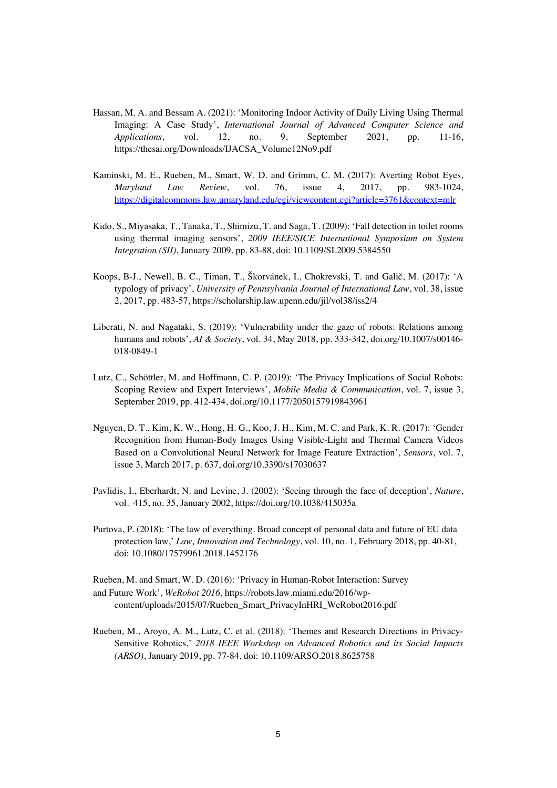- Hassan, M. A. and Bessam A. (2021): 'Monitoring Indoor Activity of Daily Living Using Thermal Imaging: A Case Study', *International Journal of Advanced Computer Science and Applications*, vol. 12, no. 9, September 2021, pp. 11-16, https://thesai.org/Downloads/IJACSA\_Volume12No9.pdf
- Kaminski, M. E., Rueben, M., Smart, W. D. and Grimm, C. M. (2017): Averting Robot Eyes, *Maryland Law Review*, vol. 76, issue 4, 2017, pp. 983-1024, https://digitalcommons.law.umaryland.edu/cgi/viewcontent.cgi?article=3761&context=mlr
- Kido, S., Miyasaka, T., Tanaka, T., Shimizu, T. and Saga, T. (2009): 'Fall detection in toilet rooms using thermal imaging sensors', *2009 IEEE/SICE International Symposium on System Integration (SII)*, January 2009, pp. 83-88, doi: 10.1109/SI.2009.5384550
- Koops, B-J., Newell, B. C., Timan, T., Škorvánek, I., Chokrevski, T. and Galič, M. (2017): 'A typology of privacy', *University of Pennsylvania Journal of International Law*, vol. 38, issue 2, 2017, pp. 483-57, https://scholarship.law.upenn.edu/jil/vol38/iss2/4
- Liberati, N. and Nagataki, S. (2019): 'Vulnerability under the gaze of robots: Relations among humans and robots', *AI & Society*, vol. 34, May 2018, pp. 333-342, doi.org/10.1007/s00146- 018-0849-1
- Lutz, C., Schöttler, M. and Hoffmann, C. P. (2019): 'The Privacy Implications of Social Robots: Scoping Review and Expert Interviews', *Mobile Media & Communication*, vol. 7, issue 3, September 2019, pp. 412-434, doi.org/10.1177/2050157919843961
- Nguyen, D. T., Kim, K. W., Hong, H. G., Koo, J. H., Kim, M. C. and Park, K. R. (2017): 'Gender Recognition from Human-Body Images Using Visible-Light and Thermal Camera Videos Based on a Convolutional Neural Network for Image Feature Extraction', *Sensors*, vol. 7, issue 3, March 2017, p. 637, doi.org/10.3390/s17030637
- Pavlidis, I., Eberhardt, N. and Levine, J. (2002): 'Seeing through the face of deception', *Nature*, vol. 415, no. 35, January 2002, https://doi.org/10.1038/415035a
- Purtova, P. (2018): 'The law of everything. Broad concept of personal data and future of EU data protection law,' *Law, Innovation and Technology*, vol. 10, no. 1, February 2018, pp. 40-81, doi: 10.1080/17579961.2018.1452176
- Rueben, M. and Smart, W. D. (2016): 'Privacy in Human-Robot Interaction: Survey and Future Work', *WeRobot 2016,* https://robots.law.miami.edu/2016/wpcontent/uploads/2015/07/Rueben\_Smart\_PrivacyInHRI\_WeRobot2016.pdf
- Rueben, M., Aroyo, A. M., Lutz, C. et al. (2018): 'Themes and Research Directions in Privacy-Sensitive Robotics,' *2018 IEEE Workshop on Advanced Robotics and its Social Impacts (ARSO)*, January 2019, pp. 77-84, doi: 10.1109/ARSO.2018.8625758